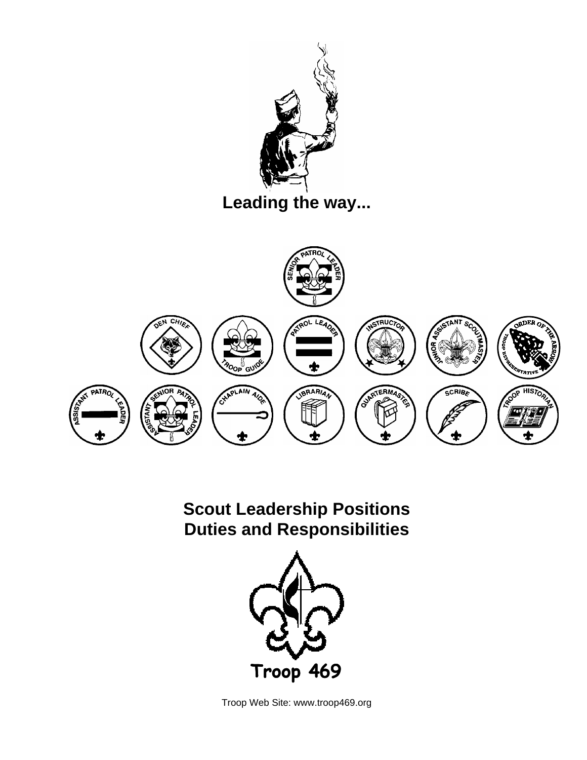

**Scout Leadership Positions Duties and Responsibilities** 



Troop Web Site: www.troop469.org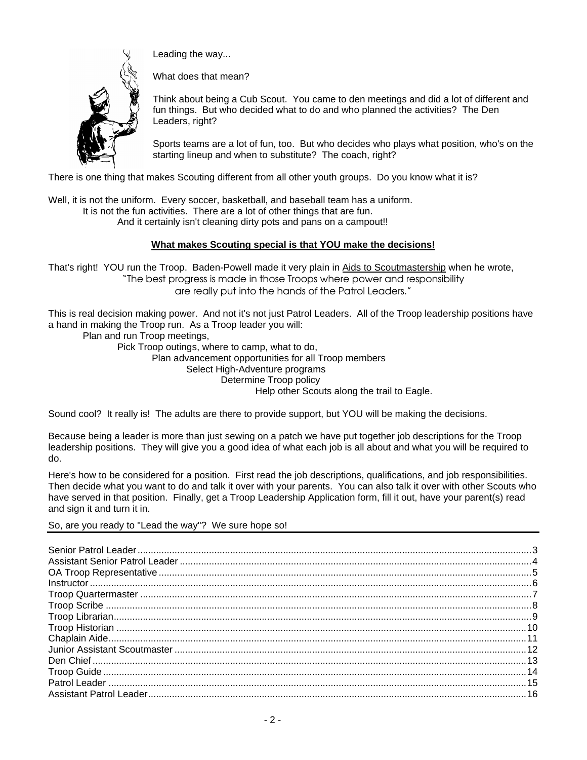

Leading the way...

What does that mean?

Think about being a Cub Scout. You came to den meetings and did a lot of different and fun things. But who decided what to do and who planned the activities? The Den Leaders, right?

Sports teams are a lot of fun, too. But who decides who plays what position, who's on the starting lineup and when to substitute? The coach, right?

There is one thing that makes Scouting different from all other youth groups. Do you know what it is?

Well, it is not the uniform. Every soccer, basketball, and baseball team has a uniform.

It is not the fun activities. There are a lot of other things that are fun.

And it certainly isn't cleaning dirty pots and pans on a campout!!

#### **What makes Scouting special is that YOU make the decisions!**

That's right! YOU run the Troop. Baden-Powell made it very plain in Aids to Scoutmastership when he wrote, "The best progress is made in those Troops where power and responsibility are really put into the hands of the Patrol Leaders."

This is real decision making power. And not it's not just Patrol Leaders. All of the Troop leadership positions have a hand in making the Troop run. As a Troop leader you will:

Plan and run Troop meetings,

 Pick Troop outings, where to camp, what to do, Plan advancement opportunities for all Troop members Select High-Adventure programs Determine Troop policy Help other Scouts along the trail to Eagle.

Sound cool? It really is! The adults are there to provide support, but YOU will be making the decisions.

Because being a leader is more than just sewing on a patch we have put together job descriptions for the Troop leadership positions. They will give you a good idea of what each job is all about and what you will be required to do.

Here's how to be considered for a position. First read the job descriptions, qualifications, and job responsibilities. Then decide what you want to do and talk it over with your parents. You can also talk it over with other Scouts who have served in that position. Finally, get a Troop Leadership Application form, fill it out, have your parent(s) read and sign it and turn it in.

So, are you ready to "Lead the way"? We sure hope so!

| .16 |
|-----|
|     |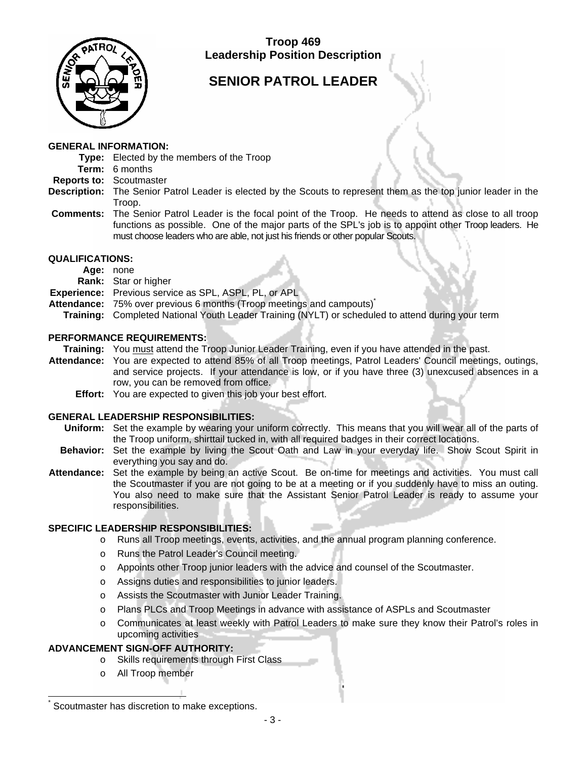

# **SENIOR PATROL LEADER**

#### **GENERAL INFORMATION:**

**Type:** Elected by the members of the Troop

- **Term:** 6 months
- **Reports to:** Scoutmaster
- **Description:** The Senior Patrol Leader is elected by the Scouts to represent them as the top junior leader in the Troop.
- **Comments:** The Senior Patrol Leader is the focal point of the Troop. He needs to attend as close to all troop functions as possible. One of the major parts of the SPL's job is to appoint other Troop leaders. He must choose leaders who are able, not just his friends or other popular Scouts.

#### **QUALIFICATIONS:**

- **Age:** none
- **Rank:** Star or higher
- **Experience:** Previous service as SPL, ASPL, PL, or APL
- **Attendance:** 75% over previous 6 months (Troop meetings and campouts)\*
	- **Training:** Completed National Youth Leader Training (NYLT) or scheduled to attend during your term

#### **PERFORMANCE REQUIREMENTS:**

- **Training:** You must attend the Troop Junior Leader Training, even if you have attended in the past.
- **Attendance:** You are expected to attend 85% of all Troop meetings, Patrol Leaders' Council meetings, outings, and service projects. If your attendance is low, or if you have three (3) unexcused absences in a row, you can be removed from office.
	- **Effort:** You are expected to given this job your best effort.

#### **GENERAL LEADERSHIP RESPONSIBILITIES:**

- **Uniform:** Set the example by wearing your uniform correctly. This means that you will wear all of the parts of the Troop uniform, shirttail tucked in, with all required badges in their correct locations.
- **Behavior:** Set the example by living the Scout Oath and Law in your everyday life. Show Scout Spirit in everything you say and do.
- **Attendance:** Set the example by being an active Scout. Be on-time for meetings and activities. You must call the Scoutmaster if you are not going to be at a meeting or if you suddenly have to miss an outing. You also need to make sure that the Assistant Senior Patrol Leader is ready to assume your responsibilities.

### **SPECIFIC LEADERSHIP RESPONSIBILITIES:**

- o Runs all Troop meetings, events, activities, and the annual program planning conference.
- o Runs the Patrol Leader's Council meeting.
- o Appoints other Troop junior leaders with the advice and counsel of the Scoutmaster.
- o Assigns duties and responsibilities to junior leaders.
- o Assists the Scoutmaster with Junior Leader Training.
- o Plans PLCs and Troop Meetings in advance with assistance of ASPLs and Scoutmaster
- o Communicates at least weekly with Patrol Leaders to make sure they know their Patrol's roles in upcoming activities

#### **ADVANCEMENT SIGN-OFF AUTHORITY:**

- o Skills requirements through First Class
- o All Troop member

<sup>\*</sup> Scoutmaster has discretion to make exceptions.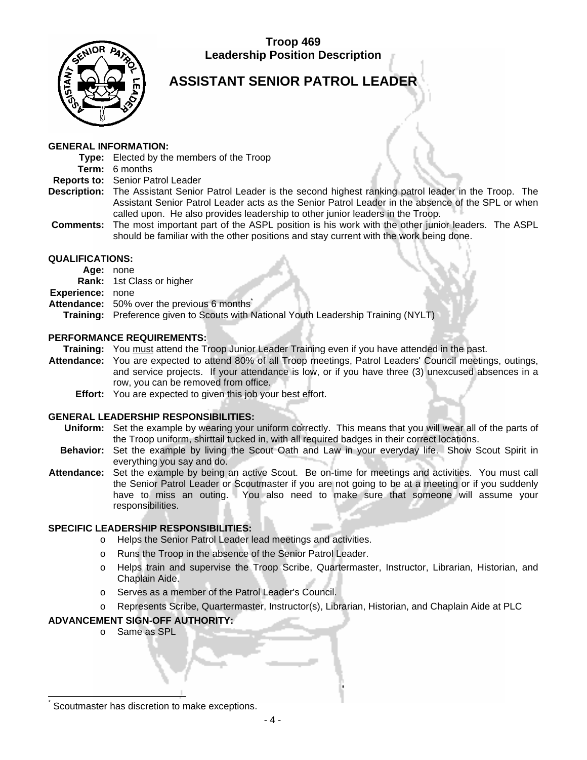

# **ASSISTANT SENIOR PATROL LEADER**

#### **GENERAL INFORMATION:**

- **Type:** Elected by the members of the Troop
- **Term:** 6 months
- **Reports to:** Senior Patrol Leader
- **Description:** The Assistant Senior Patrol Leader is the second highest ranking patrol leader in the Troop. The Assistant Senior Patrol Leader acts as the Senior Patrol Leader in the absence of the SPL or when called upon. He also provides leadership to other junior leaders in the Troop.
- **Comments:** The most important part of the ASPL position is his work with the other junior leaders. The ASPL should be familiar with the other positions and stay current with the work being done.

#### **QUALIFICATIONS:**

- **Age:** none
- **Rank:** 1st Class or higher

**Experience:** none

- Attendance: 50% over the previous 6 months<sup>\*</sup>
	- **Training:** Preference given to Scouts with National Youth Leadership Training (NYLT)

#### **PERFORMANCE REQUIREMENTS:**

- **Training:** You must attend the Troop Junior Leader Training even if you have attended in the past.
- **Attendance:** You are expected to attend 80% of all Troop meetings, Patrol Leaders' Council meetings, outings, and service projects. If your attendance is low, or if you have three (3) unexcused absences in a row, you can be removed from office.
	- **Effort:** You are expected to given this job your best effort.

#### **GENERAL LEADERSHIP RESPONSIBILITIES:**

- **Uniform:** Set the example by wearing your uniform correctly. This means that you will wear all of the parts of the Troop uniform, shirttail tucked in, with all required badges in their correct locations.
- **Behavior:** Set the example by living the Scout Oath and Law in your everyday life. Show Scout Spirit in everything you say and do.
- **Attendance:** Set the example by being an active Scout. Be on-time for meetings and activities. You must call the Senior Patrol Leader or Scoutmaster if you are not going to be at a meeting or if you suddenly have to miss an outing. You also need to make sure that someone will assume your responsibilities.

### **SPECIFIC LEADERSHIP RESPONSIBILITIES:**

- o Helps the Senior Patrol Leader lead meetings and activities.
- o Runs the Troop in the absence of the Senior Patrol Leader.
- o Helps train and supervise the Troop Scribe, Quartermaster, Instructor, Librarian, Historian, and Chaplain Aide.
- o Serves as a member of the Patrol Leader's Council.
- o Represents Scribe, Quartermaster, Instructor(s), Librarian, Historian, and Chaplain Aide at PLC

### **ADVANCEMENT SIGN-OFF AUTHORITY:**

o Same as SPL

 $\overline{a}$ \* Scoutmaster has discretion to make exceptions.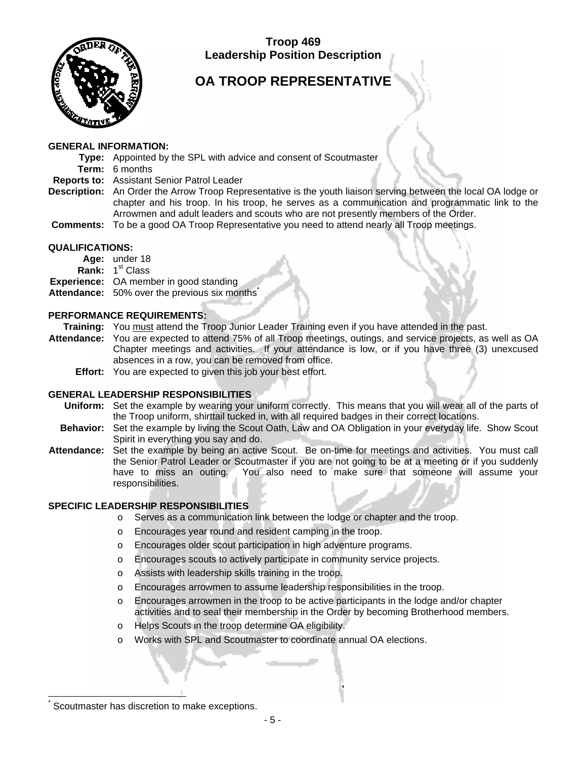

# **OA TROOP REPRESENTATIVE**

#### **GENERAL INFORMATION:**

- **Type:** Appointed by the SPL with advice and consent of Scoutmaster
- **Term:** 6 months
- **Reports to:** Assistant Senior Patrol Leader
- **Description:** An Order the Arrow Troop Representative is the youth liaison serving between the local OA lodge or chapter and his troop. In his troop, he serves as a communication and programmatic link to the Arrowmen and adult leaders and scouts who are not presently members of the Order.
- **Comments:** To be a good OA Troop Representative you need to attend nearly all Troop meetings.

### **QUALIFICATIONS:**

**Age:** under 18 **Rank:** 1<sup>st</sup> Class **Experience:** OA member in good standing Attendance: 50% over the previous six months<sup>2</sup>

#### **PERFORMANCE REQUIREMENTS:**

**Training:** You must attend the Troop Junior Leader Training even if you have attended in the past.

- **Attendance:** You are expected to attend 75% of all Troop meetings, outings, and service projects, as well as OA Chapter meetings and activities. If your attendance is low, or if you have three (3) unexcused absences in a row, you can be removed from office.
	- **Effort:** You are expected to given this job your best effort.

### **GENERAL LEADERSHIP RESPONSIBILITIES**

- **Uniform:** Set the example by wearing your uniform correctly. This means that you will wear all of the parts of the Troop uniform, shirttail tucked in, with all required badges in their correct locations.
- **Behavior:** Set the example by living the Scout Oath, Law and OA Obligation in your everyday life. Show Scout Spirit in everything you say and do.
- **Attendance:** Set the example by being an active Scout. Be on-time for meetings and activities. You must call the Senior Patrol Leader or Scoutmaster if you are not going to be at a meeting or if you suddenly have to miss an outing. You also need to make sure that someone will assume your responsibilities.

### **SPECIFIC LEADERSHIP RESPONSIBILITIES**

- o Serves as a communication link between the lodge or chapter and the troop.
- o Encourages year round and resident camping in the troop.
- o Encourages older scout participation in high adventure programs.
- o Encourages scouts to actively participate in community service projects.
- o Assists with leadership skills training in the troop.
- o Encourages arrowmen to assume leadership responsibilities in the troop.
- o Encourages arrowmen in the troop to be active participants in the lodge and/or chapter activities and to seal their membership in the Order by becoming Brotherhood members.
- o Helps Scouts in the troop determine OA eligibility.
- o Works with SPL and Scoutmaster to coordinate annual OA elections.

Scoutmaster has discretion to make exceptions.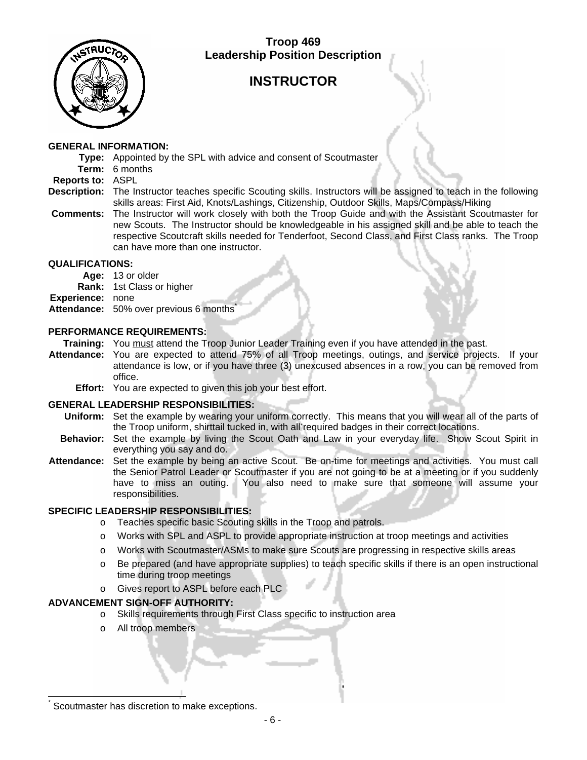

# **INSTRUCTOR**

#### **GENERAL INFORMATION:**

**Type:** Appointed by the SPL with advice and consent of Scoutmaster

**Term:** 6 months

#### **Reports to:** ASPL

- **Description:** The Instructor teaches specific Scouting skills. Instructors will be assigned to teach in the following skills areas: First Aid, Knots/Lashings, Citizenship, Outdoor Skills, Maps/Compass/Hiking
- **Comments:** The Instructor will work closely with both the Troop Guide and with the Assistant Scoutmaster for new Scouts. The Instructor should be knowledgeable in his assigned skill and be able to teach the respective Scoutcraft skills needed for Tenderfoot, Second Class, and First Class ranks. The Troop can have more than one instructor.

#### **QUALIFICATIONS:**

- **Age:** 13 or older
- **Rank:** 1st Class or higher

**Experience:** none

**Attendance:** 50% over previous 6 months\*

#### **PERFORMANCE REQUIREMENTS:**

- **Training:** You must attend the Troop Junior Leader Training even if you have attended in the past.
- **Attendance:** You are expected to attend 75% of all Troop meetings, outings, and service projects. If your attendance is low, or if you have three (3) unexcused absences in a row, you can be removed from office.
	- **Effort:** You are expected to given this job your best effort.

### **GENERAL LEADERSHIP RESPONSIBILITIES:**

- **Uniform:** Set the example by wearing your uniform correctly. This means that you will wear all of the parts of the Troop uniform, shirttail tucked in, with all required badges in their correct locations.
- **Behavior:** Set the example by living the Scout Oath and Law in your everyday life. Show Scout Spirit in everything you say and do.
- **Attendance:** Set the example by being an active Scout. Be on-time for meetings and activities. You must call the Senior Patrol Leader or Scoutmaster if you are not going to be at a meeting or if you suddenly have to miss an outing. You also need to make sure that someone will assume your responsibilities.

#### **SPECIFIC LEADERSHIP RESPONSIBILITIES:**

- o Teaches specific basic Scouting skills in the Troop and patrols.
- o Works with SPL and ASPL to provide appropriate instruction at troop meetings and activities
- o Works with Scoutmaster/ASMs to make sure Scouts are progressing in respective skills areas
- o Be prepared (and have appropriate supplies) to teach specific skills if there is an open instructional time during troop meetings
- o Gives report to ASPL before each PLC

### **ADVANCEMENT SIGN-OFF AUTHORITY:**

- o Skills requirements through First Class specific to instruction area
- o All troop members

\*

 $\overline{a}$ Scoutmaster has discretion to make exceptions.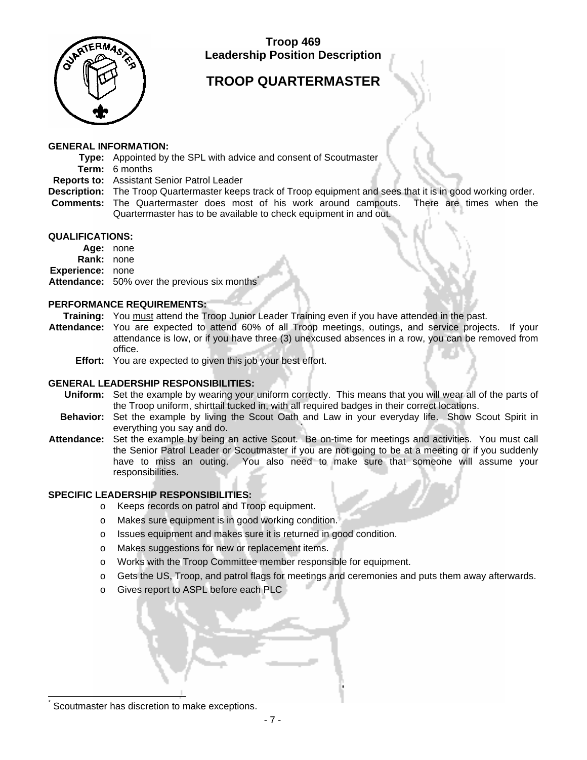

# **TROOP QUARTERMASTER**

#### **GENERAL INFORMATION:**

- **Type:** Appointed by the SPL with advice and consent of Scoutmaster
- **Term:** 6 months
- **Reports to:** Assistant Senior Patrol Leader
- **Description:** The Troop Quartermaster keeps track of Troop equipment and sees that it is in good working order.
- **Comments:** The Quartermaster does most of his work around campouts. There are times when the Quartermaster has to be available to check equipment in and out.

#### **QUALIFICATIONS:**

- **Age:** none
- **Rank:** none
- **Experience:** none
- Attendance: 50% over the previous six months<sup>\*</sup>

#### **PERFORMANCE REQUIREMENTS:**

- **Training:** You must attend the Troop Junior Leader Training even if you have attended in the past.
- **Attendance:** You are expected to attend 60% of all Troop meetings, outings, and service projects. If your attendance is low, or if you have three (3) unexcused absences in a row, you can be removed from office.
	- **Effort:** You are expected to given this job your best effort.

#### **GENERAL LEADERSHIP RESPONSIBILITIES:**

- **Uniform:** Set the example by wearing your uniform correctly. This means that you will wear all of the parts of the Troop uniform, shirttail tucked in, with all required badges in their correct locations.
- **Behavior:** Set the example by living the Scout Oath and Law in your everyday life. Show Scout Spirit in everything you say and do.
- **Attendance:** Set the example by being an active Scout. Be on-time for meetings and activities. You must call the Senior Patrol Leader or Scoutmaster if you are not going to be at a meeting or if you suddenly have to miss an outing. You also need to make sure that someone will assume your responsibilities.

#### **SPECIFIC LEADERSHIP RESPONSIBILITIES:**

- o Keeps records on patrol and Troop equipment.
- o Makes sure equipment is in good working condition.
- o Issues equipment and makes sure it is returned in good condition.
- o Makes suggestions for new or replacement items.
- o Works with the Troop Committee member responsible for equipment.
- o Gets the US, Troop, and patrol flags for meetings and ceremonies and puts them away afterwards.
- o Gives report to ASPL before each PLC

Scoutmaster has discretion to make exceptions.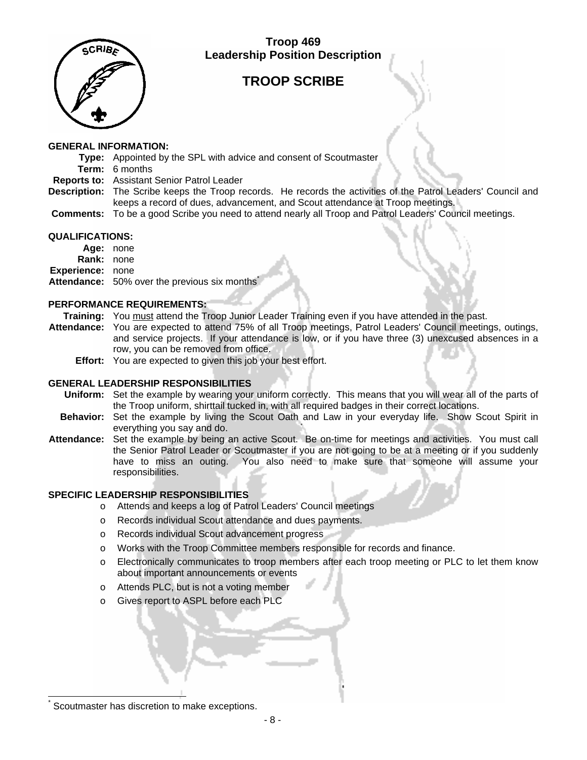

# **TROOP SCRIBE**

#### **GENERAL INFORMATION:**

- **Type:** Appointed by the SPL with advice and consent of Scoutmaster
- **Term:** 6 months
- **Reports to:** Assistant Senior Patrol Leader
- **Description:** The Scribe keeps the Troop records. He records the activities of the Patrol Leaders' Council and keeps a record of dues, advancement, and Scout attendance at Troop meetings.
- **Comments:** To be a good Scribe you need to attend nearly all Troop and Patrol Leaders' Council meetings.

#### **QUALIFICATIONS:**

- **Age:** none
- **Rank:** none
- **Experience:** none
- Attendance: 50% over the previous six months<sup>\*</sup>

#### **PERFORMANCE REQUIREMENTS:**

- **Training:** You must attend the Troop Junior Leader Training even if you have attended in the past.
- **Attendance:** You are expected to attend 75% of all Troop meetings, Patrol Leaders' Council meetings, outings, and service projects. If your attendance is low, or if you have three (3) unexcused absences in a row, you can be removed from office.
	- **Effort:** You are expected to given this job your best effort.

#### **GENERAL LEADERSHIP RESPONSIBILITIES**

- **Uniform:** Set the example by wearing your uniform correctly. This means that you will wear all of the parts of the Troop uniform, shirttail tucked in, with all required badges in their correct locations.
- **Behavior:** Set the example by living the Scout Oath and Law in your everyday life. Show Scout Spirit in everything you say and do.
- **Attendance:** Set the example by being an active Scout. Be on-time for meetings and activities. You must call the Senior Patrol Leader or Scoutmaster if you are not going to be at a meeting or if you suddenly have to miss an outing. You also need to make sure that someone will assume your responsibilities.

#### **SPECIFIC LEADERSHIP RESPONSIBILITIES**

- o Attends and keeps a log of Patrol Leaders' Council meetings
- o Records individual Scout attendance and dues payments.
- o Records individual Scout advancement progress
- o Works with the Troop Committee members responsible for records and finance.
- o Electronically communicates to troop members after each troop meeting or PLC to let them know about important announcements or events
- o Attends PLC, but is not a voting member
- o Gives report to ASPL before each PLC

<sup>\*</sup> Scoutmaster has discretion to make exceptions.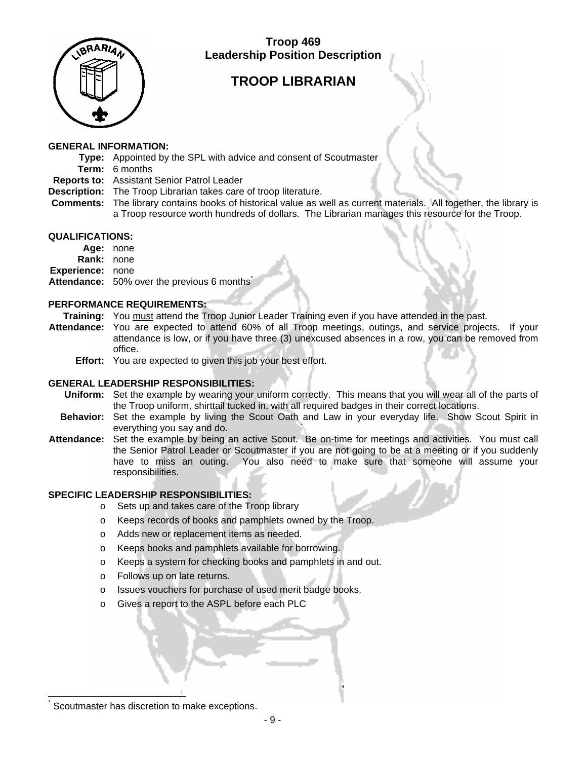

# **TROOP LIBRARIAN**

#### **GENERAL INFORMATION:**

- **Type:** Appointed by the SPL with advice and consent of Scoutmaster
- **Term:** 6 months
- **Reports to:** Assistant Senior Patrol Leader
- **Description:** The Troop Librarian takes care of troop literature.
- **Comments:** The library contains books of historical value as well as current materials. All together, the library is a Troop resource worth hundreds of dollars. The Librarian manages this resource for the Troop.

#### **QUALIFICATIONS:**

- **Age:** none
- **Rank:** none
- **Experience:** none
- Attendance: 50% over the previous 6 months<sup>3</sup>

#### **PERFORMANCE REQUIREMENTS:**

- **Training:** You must attend the Troop Junior Leader Training even if you have attended in the past.
- **Attendance:** You are expected to attend 60% of all Troop meetings, outings, and service projects. If your attendance is low, or if you have three (3) unexcused absences in a row, you can be removed from office.
	- **Effort:** You are expected to given this job your best effort.

#### **GENERAL LEADERSHIP RESPONSIBILITIES:**

- **Uniform:** Set the example by wearing your uniform correctly. This means that you will wear all of the parts of the Troop uniform, shirttail tucked in, with all required badges in their correct locations.
- **Behavior:** Set the example by living the Scout Oath and Law in your everyday life. Show Scout Spirit in everything you say and do.
- **Attendance:** Set the example by being an active Scout. Be on-time for meetings and activities. You must call the Senior Patrol Leader or Scoutmaster if you are not going to be at a meeting or if you suddenly have to miss an outing. You also need to make sure that someone will assume your responsibilities.

#### **SPECIFIC LEADERSHIP RESPONSIBILITIES:**

- o Sets up and takes care of the Troop library
- o Keeps records of books and pamphlets owned by the Troop.
- o Adds new or replacement items as needed.
- o Keeps books and pamphlets available for borrowing.
- o Keeps a system for checking books and pamphlets in and out.
- o Follows up on late returns.
- o Issues vouchers for purchase of used merit badge books.
- o Gives a report to the ASPL before each PLC

Scoutmaster has discretion to make exceptions.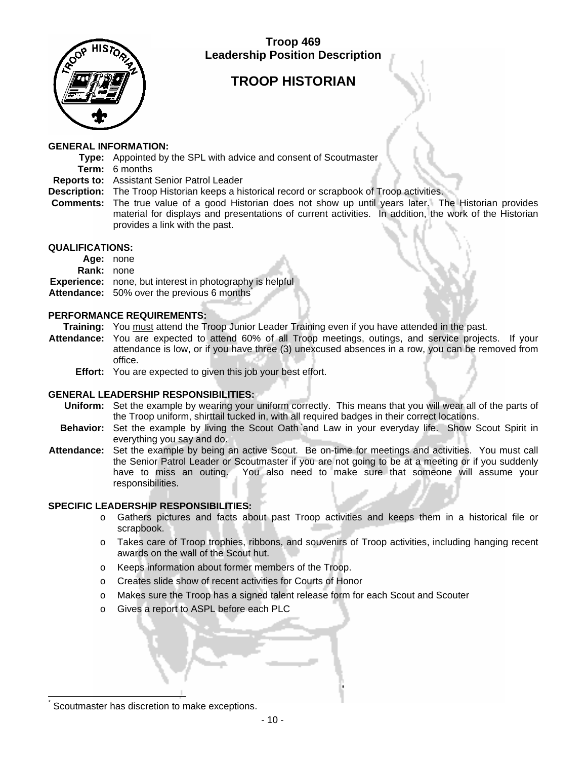

# **TROOP HISTORIAN**

#### **GENERAL INFORMATION:**

- **Type:** Appointed by the SPL with advice and consent of Scoutmaster
- **Term:** 6 months
- **Reports to:** Assistant Senior Patrol Leader
- **Description:** The Troop Historian keeps a historical record or scrapbook of Troop activities.
- **Comments:** The true value of a good Historian does not show up until years later. The Historian provides material for displays and presentations of current activities. In addition, the work of the Historian provides a link with the past.

#### **QUALIFICATIONS:**

**Age:** none

- **Rank:** none
- **Experience:** none, but interest in photography is helpful

Attendance: 50% over the previous 6 months<sup>2</sup>

#### **PERFORMANCE REQUIREMENTS:**

**Training:** You must attend the Troop Junior Leader Training even if you have attended in the past.

- **Attendance:** You are expected to attend 60% of all Troop meetings, outings, and service projects. If your attendance is low, or if you have three (3) unexcused absences in a row, you can be removed from office.
	- **Effort:** You are expected to given this job your best effort.

#### **GENERAL LEADERSHIP RESPONSIBILITIES:**

- **Uniform:** Set the example by wearing your uniform correctly. This means that you will wear all of the parts of the Troop uniform, shirttail tucked in, with all required badges in their correct locations.
- **Behavior:** Set the example by living the Scout Oath and Law in your everyday life. Show Scout Spirit in everything you say and do.
- **Attendance:** Set the example by being an active Scout. Be on-time for meetings and activities. You must call the Senior Patrol Leader or Scoutmaster if you are not going to be at a meeting or if you suddenly have to miss an outing. You also need to make sure that someone will assume your responsibilities.

#### **SPECIFIC LEADERSHIP RESPONSIBILITIES:**

- o Gathers pictures and facts about past Troop activities and keeps them in a historical file or scrapbook.
- o Takes care of Troop trophies, ribbons, and souvenirs of Troop activities, including hanging recent awards on the wall of the Scout hut.
- o Keeps information about former members of the Troop.
- o Creates slide show of recent activities for Courts of Honor
- o Makes sure the Troop has a signed talent release form for each Scout and Scouter
- o Gives a report to ASPL before each PLC

Scoutmaster has discretion to make exceptions.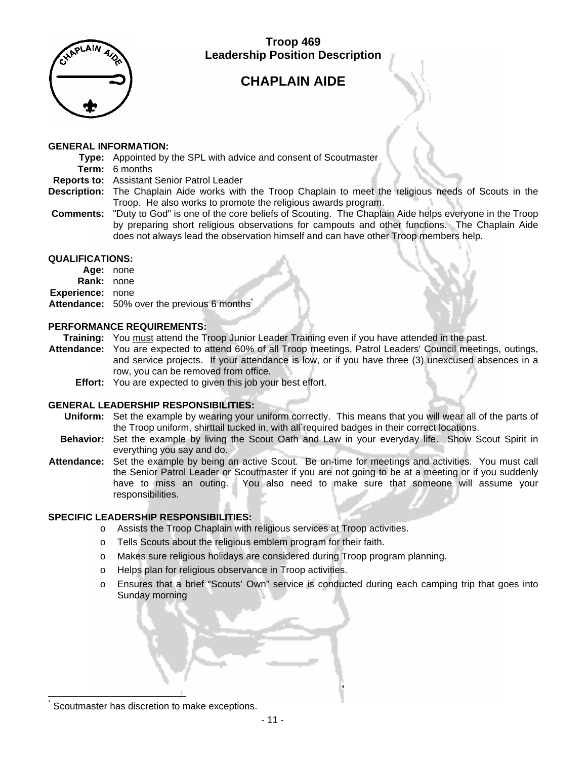

# **CHAPLAIN AIDE**

#### **GENERAL INFORMATION:**

- **Type:** Appointed by the SPL with advice and consent of Scoutmaster
- **Term:** 6 months
- **Reports to:** Assistant Senior Patrol Leader
- **Description:** The Chaplain Aide works with the Troop Chaplain to meet the religious needs of Scouts in the Troop. He also works to promote the religious awards program.
- **Comments:** "Duty to God" is one of the core beliefs of Scouting. The Chaplain Aide helps everyone in the Troop by preparing short religious observations for campouts and other functions. The Chaplain Aide does not always lead the observation himself and can have other Troop members help.

#### **QUALIFICATIONS:**

**Age:** none **Rank:** none **Experience:** none **Attendance:** 50% over the previous 6 months\*

#### **PERFORMANCE REQUIREMENTS:**

- **Training:** You must attend the Troop Junior Leader Training even if you have attended in the past.
- **Attendance:** You are expected to attend 60% of all Troop meetings, Patrol Leaders' Council meetings, outings, and service projects. If your attendance is low, or if you have three (3) unexcused absences in a row, you can be removed from office.
	- **Effort:** You are expected to given this job your best effort.

#### **GENERAL LEADERSHIP RESPONSIBILITIES:**

- **Uniform:** Set the example by wearing your uniform correctly. This means that you will wear all of the parts of the Troop uniform, shirttail tucked in, with all required badges in their correct locations.
- **Behavior:** Set the example by living the Scout Oath and Law in your everyday life. Show Scout Spirit in everything you say and do.
- **Attendance:** Set the example by being an active Scout. Be on-time for meetings and activities. You must call the Senior Patrol Leader or Scoutmaster if you are not going to be at a meeting or if you suddenly have to miss an outing. You also need to make sure that someone will assume your responsibilities.

#### **SPECIFIC LEADERSHIP RESPONSIBILITIES:**

- o Assists the Troop Chaplain with religious services at Troop activities.
- o Tells Scouts about the religious emblem program for their faith.
- o Makes sure religious holidays are considered during Troop program planning.
- o Helps plan for religious observance in Troop activities.
- o Ensures that a brief "Scouts' Own" service is conducted during each camping trip that goes into Sunday morning

 $\overline{a}$ \* Scoutmaster has discretion to make exceptions.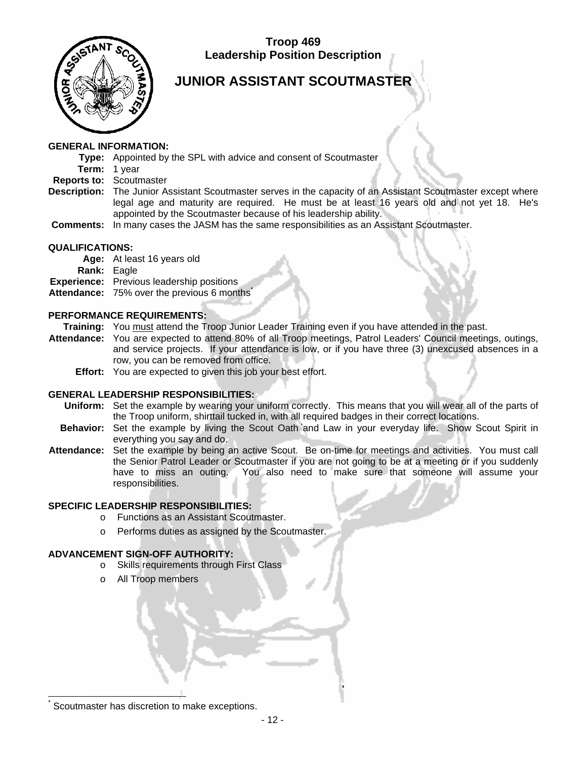# **JUNIOR ASSISTANT SCOUTMASTER**

### **GENERAL INFORMATION:**

- **Type:** Appointed by the SPL with advice and consent of Scoutmaster
- **Term:** 1 year
- **Reports to:** Scoutmaster
- **Description:** The Junior Assistant Scoutmaster serves in the capacity of an Assistant Scoutmaster except where legal age and maturity are required. He must be at least 16 years old and not yet 18. He's appointed by the Scoutmaster because of his leadership ability.
- **Comments:** In many cases the JASM has the same responsibilities as an Assistant Scoutmaster.

### **QUALIFICATIONS:**

- **Age:** At least 16 years old
- **Rank:** Eagle
- **Experience:** Previous leadership positions
- Attendance: 75% over the previous 6 months<sup>1</sup>

### **PERFORMANCE REQUIREMENTS:**

**Training:** You must attend the Troop Junior Leader Training even if you have attended in the past.

- **Attendance:** You are expected to attend 80% of all Troop meetings, Patrol Leaders' Council meetings, outings, and service projects. If your attendance is low, or if you have three (3) unexcused absences in a row, you can be removed from office.
	- **Effort:** You are expected to given this job your best effort.

### **GENERAL LEADERSHIP RESPONSIBILITIES:**

- **Uniform:** Set the example by wearing your uniform correctly. This means that you will wear all of the parts of the Troop uniform, shirttail tucked in, with all required badges in their correct locations.
- **Behavior:** Set the example by living the Scout Oath and Law in your everyday life. Show Scout Spirit in everything you say and do.
- **Attendance:** Set the example by being an active Scout. Be on-time for meetings and activities. You must call the Senior Patrol Leader or Scoutmaster if you are not going to be at a meeting or if you suddenly have to miss an outing. You also need to make sure that someone will assume your responsibilities.

### **SPECIFIC LEADERSHIP RESPONSIBILITIES:**

- o Functions as an Assistant Scoutmaster.
- o Performs duties as assigned by the Scoutmaster.

### **ADVANCEMENT SIGN-OFF AUTHORITY:**

- o Skills requirements through First Class
- o All Troop members

Scoutmaster has discretion to make exceptions.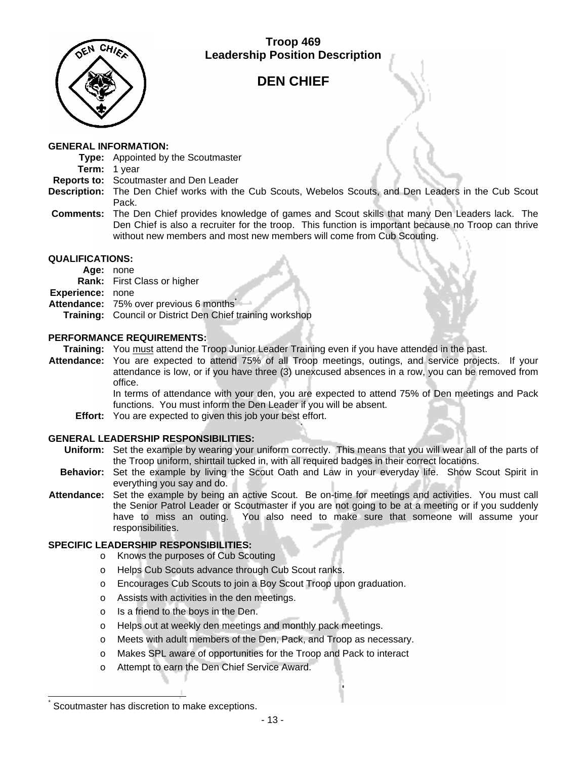

# **DEN CHIEF**

#### **GENERAL INFORMATION:**

**Type:** Appointed by the Scoutmaster

- **Term:** 1 year
- **Reports to:** Scoutmaster and Den Leader
- **Description:** The Den Chief works with the Cub Scouts, Webelos Scouts, and Den Leaders in the Cub Scout Pack.
- **Comments:** The Den Chief provides knowledge of games and Scout skills that many Den Leaders lack. The Den Chief is also a recruiter for the troop. This function is important because no Troop can thrive without new members and most new members will come from Cub Scouting.

#### **QUALIFICATIONS:**

- **Age:** none
- **Rank:** First Class or higher

**Experience:** none

- Attendance: 75% over previous 6 months<sup>\*</sup>
	- **Training:** Council or District Den Chief training workshop

#### **PERFORMANCE REQUIREMENTS:**

- **Training:** You must attend the Troop Junior Leader Training even if you have attended in the past.
- **Attendance:** You are expected to attend 75% of all Troop meetings, outings, and service projects. If your attendance is low, or if you have three (3) unexcused absences in a row, you can be removed from office.

 In terms of attendance with your den, you are expected to attend 75% of Den meetings and Pack functions. You must inform the Den Leader if you will be absent.

**Effort:** You are expected to given this job your best effort.

#### **GENERAL LEADERSHIP RESPONSIBILITIES:**

- **Uniform:** Set the example by wearing your uniform correctly. This means that you will wear all of the parts of the Troop uniform, shirttail tucked in, with all required badges in their correct locations.
- **Behavior:** Set the example by living the Scout Oath and Law in your everyday life. Show Scout Spirit in everything you say and do.
- **Attendance:** Set the example by being an active Scout. Be on-time for meetings and activities. You must call the Senior Patrol Leader or Scoutmaster if you are not going to be at a meeting or if you suddenly have to miss an outing. You also need to make sure that someone will assume your responsibilities.

#### **SPECIFIC LEADERSHIP RESPONSIBILITIES:**

- o Knows the purposes of Cub Scouting
- o Helps Cub Scouts advance through Cub Scout ranks.
- o Encourages Cub Scouts to join a Boy Scout Troop upon graduation.
- o Assists with activities in the den meetings.
- o Is a friend to the boys in the Den.
- o Helps out at weekly den meetings and monthly pack meetings.
- o Meets with adult members of the Den, Pack, and Troop as necessary.
- o Makes SPL aware of opportunities for the Troop and Pack to interact
- o Attempt to earn the Den Chief Service Award.

Scoutmaster has discretion to make exceptions.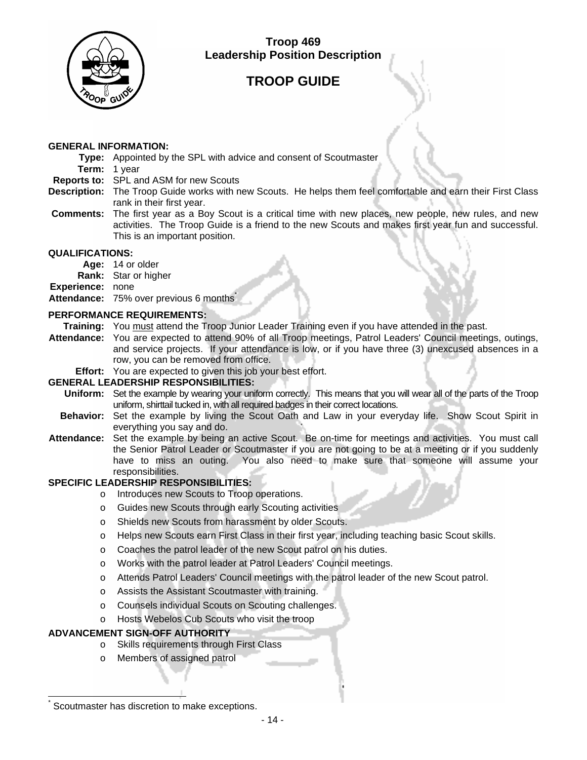

# **TROOP GUIDE**

#### **GENERAL INFORMATION:**

**Type:** Appointed by the SPL with advice and consent of Scoutmaster

- **Term:** 1 year
- **Reports to:** SPL and ASM for new Scouts
- **Description:** The Troop Guide works with new Scouts. He helps them feel comfortable and earn their First Class rank in their first year.
- **Comments:** The first year as a Boy Scout is a critical time with new places, new people, new rules, and new activities. The Troop Guide is a friend to the new Scouts and makes first year fun and successful. This is an important position.

#### **QUALIFICATIONS:**

- **Age:** 14 or older
- **Rank:** Star or higher

**Experience:** none

Attendance: 75% over previous 6 months<sup>3</sup>

#### **PERFORMANCE REQUIREMENTS:**

**Training:** You must attend the Troop Junior Leader Training even if you have attended in the past.

- **Attendance:** You are expected to attend 90% of all Troop meetings, Patrol Leaders' Council meetings, outings, and service projects. If your attendance is low, or if you have three (3) unexcused absences in a row, you can be removed from office.
	- **Effort:** You are expected to given this job your best effort.

#### **GENERAL LEADERSHIP RESPONSIBILITIES:**

- **Uniform:** Set the example by wearing your uniform correctly. This means that you will wear all of the parts of the Troop uniform, shirttail tucked in, with all required badges in their correct locations.
- **Behavior:** Set the example by living the Scout Oath and Law in your everyday life. Show Scout Spirit in everything you say and do.
- **Attendance:** Set the example by being an active Scout. Be on-time for meetings and activities. You must call the Senior Patrol Leader or Scoutmaster if you are not going to be at a meeting or if you suddenly have to miss an outing. You also need to make sure that someone will assume your responsibilities.

#### **SPECIFIC LEADERSHIP RESPONSIBILITIES:**

- o Introduces new Scouts to Troop operations.
- o Guides new Scouts through early Scouting activities
- o Shields new Scouts from harassment by older Scouts.
- o Helps new Scouts earn First Class in their first year, including teaching basic Scout skills.
- o Coaches the patrol leader of the new Scout patrol on his duties.
- o Works with the patrol leader at Patrol Leaders' Council meetings.
- o Attends Patrol Leaders' Council meetings with the patrol leader of the new Scout patrol.
- o Assists the Assistant Scoutmaster with training.
- o Counsels individual Scouts on Scouting challenges.

#### o Hosts Webelos Cub Scouts who visit the troop

#### **ADVANCEMENT SIGN-OFF AUTHORITY**

- o Skills requirements through First Class
- o Members of assigned patrol

Scoutmaster has discretion to make exceptions.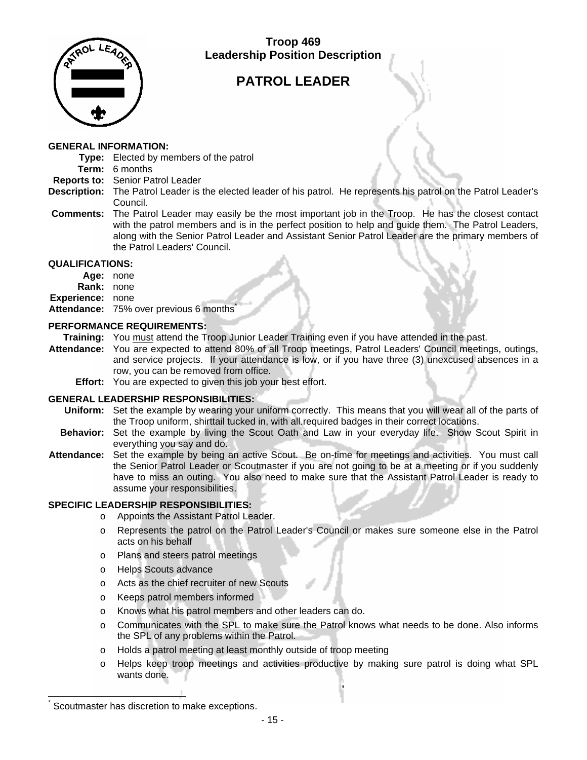

# **PATROL LEADER**

#### **GENERAL INFORMATION:**

**Type:** Elected by members of the patrol

- **Term:** 6 months
- **Reports to:** Senior Patrol Leader
- **Description:** The Patrol Leader is the elected leader of his patrol. He represents his patrol on the Patrol Leader's Council.
- **Comments:** The Patrol Leader may easily be the most important job in the Troop. He has the closest contact with the patrol members and is in the perfect position to help and guide them. The Patrol Leaders, along with the Senior Patrol Leader and Assistant Senior Patrol Leader are the primary members of the Patrol Leaders' Council.

#### **QUALIFICATIONS:**

- **Age:** none
- **Rank:** none
- **Experience:** none
- **Attendance:** 75% over previous 6 months\*

#### **PERFORMANCE REQUIREMENTS:**

- **Training:** You must attend the Troop Junior Leader Training even if you have attended in the past.
- **Attendance:** You are expected to attend 80% of all Troop meetings, Patrol Leaders' Council meetings, outings, and service projects. If your attendance is low, or if you have three (3) unexcused absences in a row, you can be removed from office.
	- **Effort:** You are expected to given this job your best effort.

#### **GENERAL LEADERSHIP RESPONSIBILITIES:**

- **Uniform:** Set the example by wearing your uniform correctly. This means that you will wear all of the parts of the Troop uniform, shirttail tucked in, with all required badges in their correct locations.
- **Behavior:** Set the example by living the Scout Oath and Law in your everyday life. Show Scout Spirit in everything you say and do.
- **Attendance:** Set the example by being an active Scout. Be on-time for meetings and activities. You must call the Senior Patrol Leader or Scoutmaster if you are not going to be at a meeting or if you suddenly have to miss an outing. You also need to make sure that the Assistant Patrol Leader is ready to assume your responsibilities.

#### **SPECIFIC LEADERSHIP RESPONSIBILITIES:**

- o Appoints the Assistant Patrol Leader.
- o Represents the patrol on the Patrol Leader's Council or makes sure someone else in the Patrol acts on his behalf
- o Plans and steers patrol meetings
- o Helps Scouts advance
- o Acts as the chief recruiter of new Scouts
- o Keeps patrol members informed
- o Knows what his patrol members and other leaders can do.
- o Communicates with the SPL to make sure the Patrol knows what needs to be done. Also informs the SPL of any problems within the Patrol.
- o Holds a patrol meeting at least monthly outside of troop meeting
- o Helps keep troop meetings and activities productive by making sure patrol is doing what SPL wants done.

Scoutmaster has discretion to make exceptions.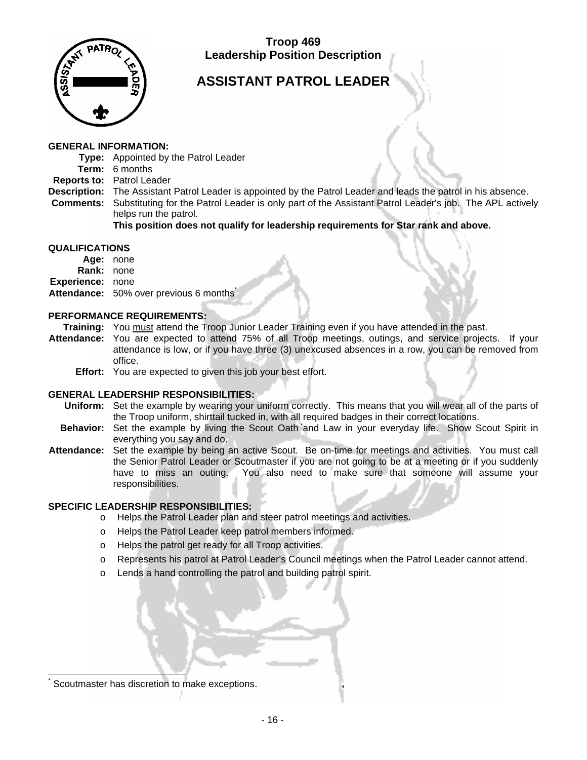

# **ASSISTANT PATROL LEADER**

#### **GENERAL INFORMATION:**

**Type:** Appointed by the Patrol Leader **Term:** 6 months **Reports to:** Patrol Leader

**Description:** The Assistant Patrol Leader is appointed by the Patrol Leader and leads the patrol in his absence.

**Comments:** Substituting for the Patrol Leader is only part of the Assistant Patrol Leader's job. The APL actively helps run the patrol.

### **This position does not qualify for leadership requirements for Star rank and above.**

#### **QUALIFICATIONS**

**Age:** none

**Rank:** none

**Experience:** none

Attendance: 50% over previous 6 months<sup>1</sup>

#### **PERFORMANCE REQUIREMENTS:**

**Training:** You must attend the Troop Junior Leader Training even if you have attended in the past.

- **Attendance:** You are expected to attend 75% of all Troop meetings, outings, and service projects. If your attendance is low, or if you have three (3) unexcused absences in a row, you can be removed from office.
	- **Effort:** You are expected to given this job your best effort.

#### **GENERAL LEADERSHIP RESPONSIBILITIES:**

- **Uniform:** Set the example by wearing your uniform correctly. This means that you will wear all of the parts of the Troop uniform, shirttail tucked in, with all required badges in their correct locations.
- **Behavior:** Set the example by living the Scout Oath and Law in your everyday life. Show Scout Spirit in everything you say and do.
- **Attendance:** Set the example by being an active Scout. Be on-time for meetings and activities. You must call the Senior Patrol Leader or Scoutmaster if you are not going to be at a meeting or if you suddenly have to miss an outing. You also need to make sure that someone will assume your responsibilities.

### **SPECIFIC LEADERSHIP RESPONSIBILITIES:**

- o Helps the Patrol Leader plan and steer patrol meetings and activities.
- o Helps the Patrol Leader keep patrol members informed.
- o Helps the patrol get ready for all Troop activities.
- o Represents his patrol at Patrol Leader's Council meetings when the Patrol Leader cannot attend.
- o Lends a hand controlling the patrol and building patrol spirit.

\* Scoutmaster has discretion to make exceptions.

l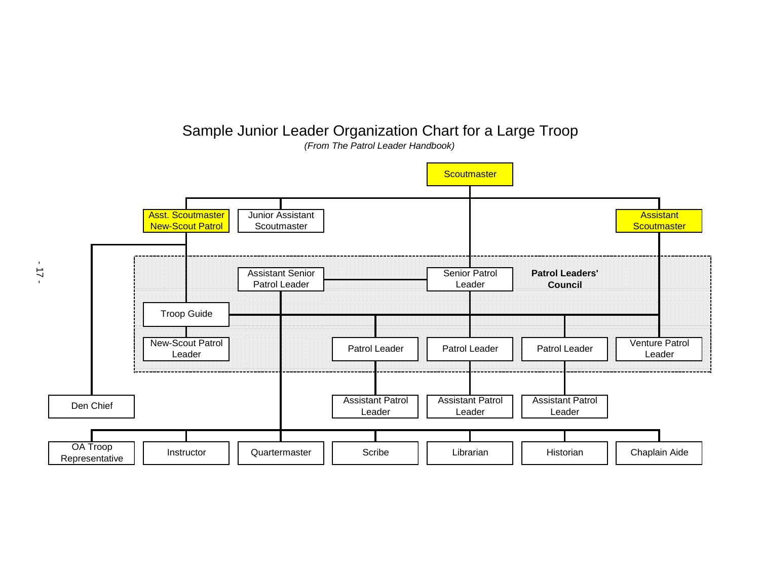# Sample Junior Leader Organization Chart for a Large Troop

(From The Patrol Leader Handbook)